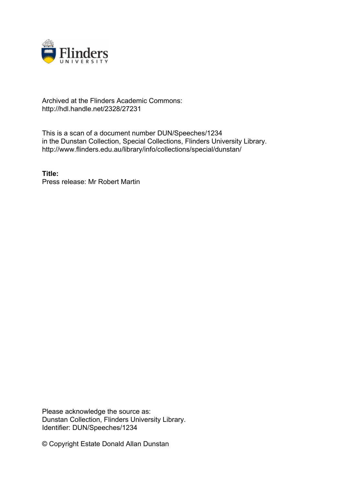

## Archived at the Flinders Academic Commons: http://hdl.handle.net/2328/27231

This is a scan of a document number DUN/Speeches/1234 in the Dunstan Collection, Special Collections, Flinders University Library. http://www.flinders.edu.au/library/info/collections/special/dunstan/

**Title:** Press release: Mr Robert Martin

Please acknowledge the source as: Dunstan Collection, Flinders University Library. Identifier: DUN/Speeches/1234

© Copyright Estate Donald Allan Dunstan